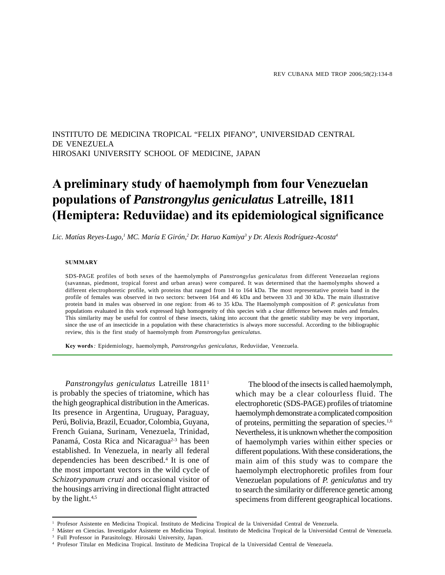## INSTITUTO DE MEDICINA TROPICAL "FELIX PIFANO", UNIVERSIDAD CENTRAL DE VENEZUELA HIROSAKI UNIVERSITY SCHOOL OF MEDICINE, JAPAN

# **A preliminary study of haemolymph from four Venezuelan populations of** *Panstrongylus geniculatus* **Latreille, 1811 (Hemiptera: Reduviidae) and its epidemiological significance**

*Lic. Matías Reyes-Lugo,1 MC. María E Girón,2 Dr. Haruo Kamiya3 y Dr. Alexis Rodríguez-Acosta4*

### **SUMMARY**

SDS-PAGE profiles of both sexes of the haemolymphs of *Panstrongylus geniculatus* from different Venezuelan regions (savannas, piedmont, tropical forest and urban areas) were compared. It was determined that the haemolymphs showed a different electrophoretic profile, with proteins that ranged from 14 to 164 kDa. The most representative protein band in the profile of females was observed in two sectors: between 164 and 46 kDa and between 33 and 30 kDa. The main illustrative protein band in males was observed in one region: from 46 to 35 kDa. The Haemolymph composition of *P. geniculatus* from populations evaluated in this work expressed high homogeneity of this species with a clear difference between males and females. This similarity may be useful for control of these insects, taking into account that the genetic stability may be very important, since the use of an insecticide in a population with these characteristics is always more successful. According to the bibliographic review, this is the first study of haemolymph from *Panstrongylus geniculatus*.

**Key words***:* Epidemiology, haemolymph, *Panstrongylus geniculatus*, Reduviidae, Venezuela.

*Panstrongylus geniculatus* Latreille 18111 is probably the species of triatomine, which has the high geographical distribution in the Americas. Its presence in Argentina, Uruguay, Paraguay, Perú, Bolivia, Brazil, Ecuador, Colombia, Guyana, French Guiana, Surinam, Venezuela, Trinidad, Panamá, Costa Rica and Nicaragua<sup>2-3</sup> has been established. In Venezuela, in nearly all federal dependencies has been described.4 It is one of the most important vectors in the wild cycle of *Schizotrypanum cruzi* and occasional visitor of the housings arriving in directional flight attracted by the light. $4,5$ 

The blood of the insects is called haemolymph, which may be a clear colourless fluid. The electrophoretic (SDS-PAGE) profiles of triatomine haemolymph demonstrate a complicated composition of proteins, permitting the separation of species.<sup>1,6</sup> Nevertheless, it is unknown whether the composition of haemolymph varies within either species or different populations. With these considerations, the main aim of this study was to compare the haemolymph electrophoretic profiles from four Venezuelan populations of *P. geniculatus* and try to search the similarity or difference genetic among specimens from different geographical locations.

<sup>1</sup> Profesor Asistente en Medicina Tropical. Instituto de Medicina Tropical de la Universidad Central de Venezuela.

<sup>2</sup> Máster en Ciencias. Investigador Asistente en Medicina Tropical. Instituto de Medicina Tropical de la Universidad Central de Venezuela. <sup>3</sup> Full Professor in Parasitology. Hirosaki University, Japan.

<sup>4</sup> Profesor Titular en Medicina Tropical. Instituto de Medicina Tropical de la Universidad Central de Venezuela.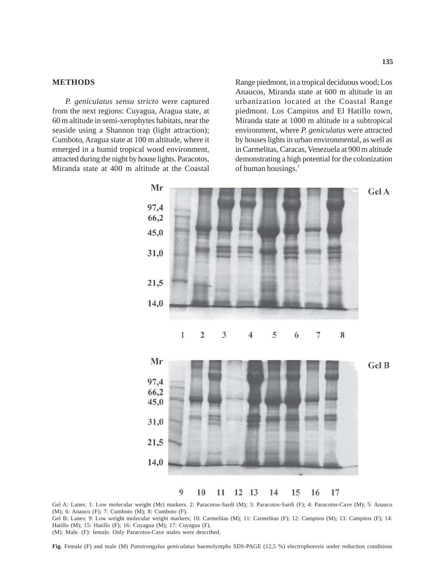## **METHODS**

*P. geniculatus sensu stricto* were captured from the next regions: Cuyagua, Aragua state, at 60 m altitude in semi-xerophytes habitats, near the seaside using a Shannon trap (light attraction); Cumboto, Aragua state at 100 m altitude, where it emerged in a humid tropical wood environment, attracted during the night by house lights. Paracotos, Miranda state at 400 m altitude at the Coastal

Range piedmont, in a tropical deciduous wood; Los Anaucos, Miranda state at 600 m altitude in an urbanization located at the Coastal Range piedmont. Los Campitos and El Hatillo town, Miranda state at 1000 m altitude in a subtropical environment, where *P. geniculatus* were attracted by houses lights in urban environmental, as well as in Carmelitas, Caracas, Venezuela at 900 m altitude demonstrating a high potential for the colonization of human housings.7



Gel A: Lanes: 1: Low molecular weight (Mr) markers. 2: Paracotos-Sardi (M); 3: Paracotos-Sardi (F); 4: Paracotos-Cave (M); 5: Anauco (M); 6: Anauco (F); 7: Cumboto (M); 8: Cumboto (F). Gel B: Lanes: 9: Low weight molecular weight markers; 10: Carmelitas (M); 11: Carmelitas (F); 12: Campitos (M); 13: Campitos (F); 14: Hatillo (M); 15: Hatillo (F); 16: Cuyagua (M); 17: Cuyagua (F). (M): Male. (F): female. Only Paracotos-Cave males were described.

**Fig**. Female (F) and male (M) *Panstrongylus geniculatus* haemolymphs SDS-PAGE (12,5 %) electrophoresis under reduction conditions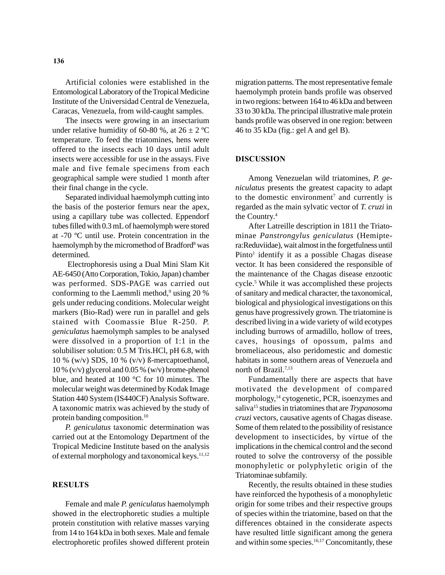Artificial colonies were established in the Entomological Laboratory of the Tropical Medicine Institute of the Universidad Central de Venezuela, Caracas, Venezuela, from wild-caught samples.

The insects were growing in an insectarium under relative humidity of 60-80 %, at  $26 \pm 2$  °C temperature. To feed the triatomines, hens were offered to the insects each 10 days until adult insects were accessible for use in the assays. Five male and five female specimens from each geographical sample were studied 1 month after their final change in the cycle.

Separated individual haemolymph cutting into the basis of the posterior femurs near the apex, using a capillary tube was collected. Eppendorf tubes filled with 0.3 mL of haemolymph were stored at -70 ºC until use. Protein concentration in the haemolymph by the micromethod of Bradford<sup>8</sup> was determined.

 Electrophoresis using a Dual Mini Slam Kit AE-6450 (Atto Corporation, Tokio, Japan) chamber was performed. SDS-PAGE was carried out conforming to the Laemmli method, $9$  using 20 % gels under reducing conditions. Molecular weight markers (Bio-Rad) were run in parallel and gels stained with Coomassie Blue R-250. *P. geniculatus* haemolymph samples to be analysed were dissolved in a proportion of 1:1 in the solubiliser solution: 0.5 M Tris.HCl, pH 6.8, with 10 % (w/v) SDS, 10 % (v/v) ß-mercaptoethanol, 10 % (v/v) glycerol and 0.05 % (w/v) brome-phenol blue, and heated at 100 °C for 10 minutes. The molecular weight was determined by Kodak Image Station 440 System (IS440CF) Analysis Software. A taxonomic matrix was achieved by the study of protein banding composition.10

*P. geniculatus* taxonomic determination was carried out at the Entomology Department of the Tropical Medicine Institute based on the analysis of external morphology and taxonomical keys. $11,12$ 

## **RESULTS**

Female and male *P. geniculatus* haemolymph showed in the electrophoretic studies a multiple protein constitution with relative masses varying from 14 to 164 kDa in both sexes. Male and female electrophoretic profiles showed different protein

migration patterns. The most representative female haemolymph protein bands profile was observed in two regions: between 164 to 46 kDa and between 33 to 30 kDa. The principal illustrative male protein bands profile was observed in one region: between 46 to 35 kDa (fig.: gel A and gel B).

## **DISCUSSION**

Among Venezuelan wild triatomines, *P. geniculatus* presents the greatest capacity to adapt to the domestic environment<sup>7</sup> and currently is regarded as the main sylvatic vector of *T. cruzi* in the Country.4

After Latreille description in 1811 the Triatominae *Panstrongylus geniculatus* (Hemiptera:Reduviidae), wait almost in the forgetfulness until Pinto<sup>1</sup> identify it as a possible Chagas disease vector. It has been considered the responsible of the maintenance of the Chagas disease enzootic cycle.<sup>5</sup> While it was accomplished these projects of sanitary and medical character, the taxonomical, biological and physiological investigations on this genus have progressively grown. The triatomine is described living in a wide variety of wild ecotypes including burrows of armadillo, hollow of trees, caves, housings of opossum, palms and bromeliaceous, also peridomestic and domestic habitats in some southern areas of Venezuela and north of Brazil.<sup>7,13</sup>

Fundamentally there are aspects that have motivated the development of compared morphology,<sup>14</sup> cytogenetic, PCR, isoenzymes and saliva15 studies in triatomines that are *Trypanosoma cruzi* vectors, causative agents of Chagas disease. Some of them related to the possibility of resistance development to insecticides, by virtue of the implications in the chemical control and the second routed to solve the controversy of the possible monophyletic or polyphyletic origin of the Triatominae subfamily.

Recently, the results obtained in these studies have reinforced the hypothesis of a monophyletic origin for some tribes and their respective groups of species within the triatomine, based on that the differences obtained in the considerate aspects have resulted little significant among the genera and within some species.<sup>16,17</sup> Concomitantly, these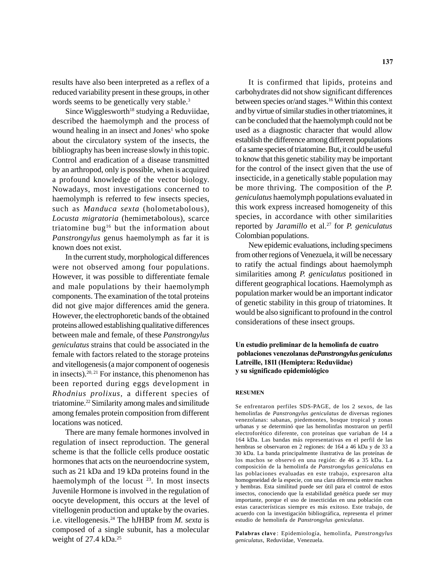results have also been interpreted as a reflex of a reduced variability present in these groups, in other words seems to be genetically very stable.<sup>3</sup>

Since Wigglesworth<sup>18</sup> studying a Reduviidae, described the haemolymph and the process of wound healing in an insect and Jones<sup>1</sup> who spoke about the circulatory system of the insects, the bibliography has been increase slowly in this topic. Control and eradication of a disease transmitted by an arthropod, only is possible, when is acquired a profound knowledge of the vector biology. Nowadays, most investigations concerned to haemolymph is referred to few insects species, such as *Manduca sexta* (holometabolous), *Locusta migratoria* (hemimetabolous), scarce triatomine bug16 but the information about *Panstrongylus* genus haemolymph as far it is known does not exist.

In the current study, morphological differences were not observed among four populations. However, it was possible to differentiate female and male populations by their haemolymph components. The examination of the total proteins did not give major differences amid the genera. However, the electrophoretic bands of the obtained proteins allowed establishing qualitative differences between male and female, of these *Panstrongylus geniculatus* strains that could be associated in the female with factors related to the storage proteins and vitellogenesis (a major component of oogenesis in insects). $20, 21$  For instance, this phenomenon has been reported during eggs development in *Rhodnius prolixus,* a different species of triatomine.22 Similarity among males and similitude among females protein composition from different locations was noticed.

There are many female hormones involved in regulation of insect reproduction. The general scheme is that the follicle cells produce oostatic hormones that acts on the neuroendocrine system, such as 21 kDa and 19 kDa proteins found in the haemolymph of the locust  $23$ . In most insects Juvenile Hormone is involved in the regulation of oocyte development, this occurs at the level of vitellogenin production and uptake by the ovaries. i.e. vitellogenesis.24 The hJHBP from *M. sexta* is composed of a single subunit, has a molecular weight of 27.4 kDa.<sup>25</sup>

It is confirmed that lipids, proteins and carbohydrates did not show significant differences between species or/and stages.16 Within this context and by virtue of similar studies in other triatomines, it can be concluded that the haemolymph could not be used as a diagnostic character that would allow establish the difference among different populations of a same species of triatomine. But, it could be useful to know that this genetic stability may be important for the control of the insect given that the use of insecticide, in a genetically stable population may be more thriving. The composition of the *P. geniculatus* haemolymph populations evaluated in this work express increased homogeneity of this species, in accordance with other similarities reported by *Jaramillo* et al.<sup>27</sup> for *P. geniculatus* Colombian populations.

New epidemic evaluations, including specimens from other regions of Venezuela, it will be necessary to ratify the actual findings about haemolymph similarities among *P. geniculatus* positioned in different geographical locations. Haemolymph as population marker would be an important indicator of genetic stability in this group of triatomines. It would be also significant to profound in the control considerations of these insect groups.

**Un estudio preliminar de la hemolinfa de cuatro poblaciones venezolanas de** *Panstrongylus geniculatus* **Latreille, 1811 (Hemiptera: Reduviidae) y su significado epidemiológico**

#### **RESUMEN**

Se enfrentaron perfiles SDS-PAGE, de los 2 sexos, de las hemolinfas de *Panstrongylus geniculatus* de diversas regiones venezolanas: sabanas, piedemontes, bosque tropical y zonas urbanas y se determinó que las hemolinfas mostraron un perfil electroforético diferente, con proteínas que variaban de 14 a 164 kDa. Las bandas más representativas en el perfil de las hembras se observaron en 2 regiones: de 164 a 46 kDa y de 33 a 30 kDa. La banda principalmente ilustrativa de las proteínas de los machos se observó en una región: de 46 a 35 kDa. La composición de la hemolinfa de *Panstrongylus geniculatus* en las poblaciones evaluadas en este trabajo, expresaron alta homogeneidad de la especie, con una clara diferencia entre machos y hembras. Esta similitud puede ser útil para el control de estos insectos, conociendo que la estabilidad genética puede ser muy importante, porque el uso de insecticidas en una población con estas características siempre es más exitoso. Este trabajo, de acuerdo con la investigación bibliográfica, representa el primer estudio de hemolinfa de *Panstrongylus geniculatus*.

**Palabras clave** : Epidemiología, hemolinfa, *Panstrongylus geniculatus*, Reduviidae, Venezuela.